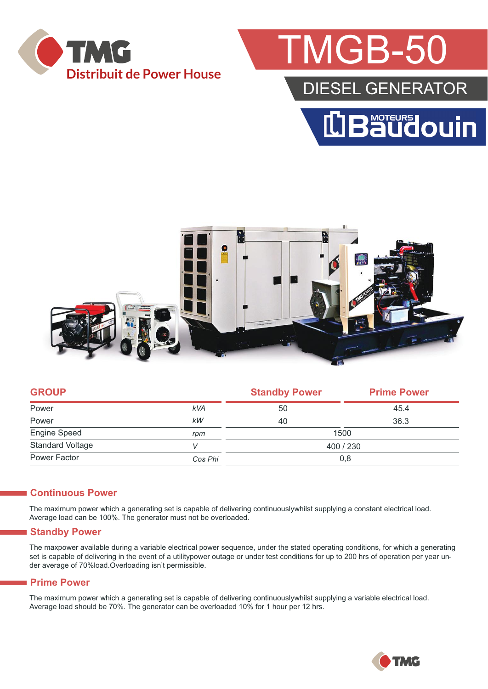

## MGB-50

### DIESEL GENERATOR





| <b>GROUP</b>            |            | <b>Standby Power</b> | <b>Prime Power</b> |  |
|-------------------------|------------|----------------------|--------------------|--|
| Power                   | <b>kVA</b> | 50                   | 45.4               |  |
| Power                   | kW         | 40                   | 36.3               |  |
| Engine Speed            | rpm        | 1500                 |                    |  |
| <b>Standard Voltage</b> |            | 400 / 230            |                    |  |
| Power Factor            | Cos Phi    | 0,8                  |                    |  |
|                         |            |                      |                    |  |

#### **Continuous Power**

The maximum power which a generating set is capable of delivering continuouslywhilst supplying a constant electrical load. Average load can be 100%. The generator must not be overloaded.

#### **Standby Power**

The maxpower available during a variable electrical power sequence, under the stated operating conditions, for which a generating set is capable of delivering in the event of a utilitypower outage or under test conditions for up to 200 hrs of operation per year under average of 70%load.Overloading isn't permissible.

#### **Prime Power**

The maximum power which a generating set is capable of delivering continuouslywhilst supplying a variable electrical load. Average load should be 70%. The generator can be overloaded 10% for 1 hour per 12 hrs.

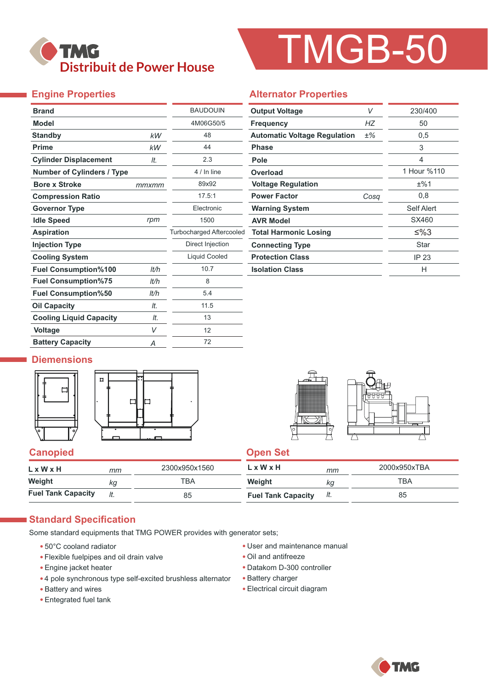

# TMGB-50

#### **Engine Properties**

| <b>Engine Properties</b>          |       |                          | <b>Alternator Properties</b>        |
|-----------------------------------|-------|--------------------------|-------------------------------------|
| <b>Brand</b>                      |       | <b>BAUDOUIN</b>          | <b>Output Voltage</b>               |
| <b>Model</b>                      |       | 4M06G50/5                | <b>Frequency</b>                    |
| <b>Standby</b>                    | kW    | 48                       | <b>Automatic Voltage Regulation</b> |
| <b>Prime</b>                      | kW    | 44                       | <b>Phase</b>                        |
| <b>Cylinder Displacement</b>      | It.   | 2.3                      | Pole                                |
| <b>Number of Cylinders / Type</b> |       | 4 / In line              | Overload                            |
| <b>Bore x Stroke</b>              | mmxmm | 89x92                    | <b>Voltage Regulation</b>           |
| <b>Compression Ratio</b>          |       | 17.5:1                   | <b>Power Factor</b>                 |
| <b>Governor Type</b>              |       | Electronic               | <b>Warning System</b>               |
| <b>Idle Speed</b>                 | rpm   | 1500                     | <b>AVR Model</b>                    |
| <b>Aspiration</b>                 |       | Turbocharged Aftercooled | <b>Total Harmonic Losing</b>        |
| <b>Injection Type</b>             |       | Direct Injection         | <b>Connecting Type</b>              |
| <b>Cooling System</b>             |       | <b>Liquid Cooled</b>     | <b>Protection Class</b>             |
| <b>Fuel Consumption%100</b>       | lt/h  | 10.7                     | <b>Isolation Class</b>              |
| <b>Fuel Consumption%75</b>        | lt/h  | 8                        |                                     |
| <b>Fuel Consumption%50</b>        | lt/h  | 5.4                      |                                     |
| <b>Oil Capacity</b>               | It.   | 11.5                     |                                     |
| <b>Cooling Liquid Capacity</b>    | It.   | 13                       |                                     |
| Voltage                           | V     | 12                       |                                     |
| <b>Battery Capacity</b>           | Α     | 72                       |                                     |

| <b>Output Voltage</b>               | V    | 230/400     |
|-------------------------------------|------|-------------|
| <b>Frequency</b>                    | HZ   | 50          |
| <b>Automatic Voltage Regulation</b> | ±%   | 0,5         |
| <b>Phase</b>                        |      | 3           |
| Pole                                |      | 4           |
| Overload                            |      | 1 Hour %110 |
| <b>Voltage Regulation</b>           |      | ±%1         |
| <b>Power Factor</b>                 | Cosa | 0,8         |
| <b>Warning System</b>               |      | Self Alert  |

SX460

Star

≤%3

IP 23 H

#### **Diemensions**





#### **Canopied Canopied Canopied Canopied Canopied Canopied Canopied Canopied Canopied Canopied Canopied Canopied Canopied Canopied Canopied Canopied Canopied Canopied Canopied Canopied Canopied Canopied Canopied Canopied Canop**

| $L \times W \times H$     | mm  | 2300x950x1560 | L x W x H                 | mm  | 2000x950xTBA |
|---------------------------|-----|---------------|---------------------------|-----|--------------|
| Weight                    | ka  | TBA           | Weight                    | ΚG  | TBA          |
| <b>Fuel Tank Capacity</b> | lt. | 85            | <b>Fuel Tank Capacity</b> | It. | 85           |

#### **Standard Specification**

Some standard equipments that TMG POWER provides with generator sets;

- 50°C cooland radiator
- Flexible fuelpipes and oil drain valve
- Engine jacket heater
- 4 pole synchronous type self-excited brushless alternator
- Battery and wires
- Entegrated fuel tank
- User and maintenance manual
- Oil and antifreeze
- Datakom D-300 controller
- Battery charger
- Electrical circuit diagram